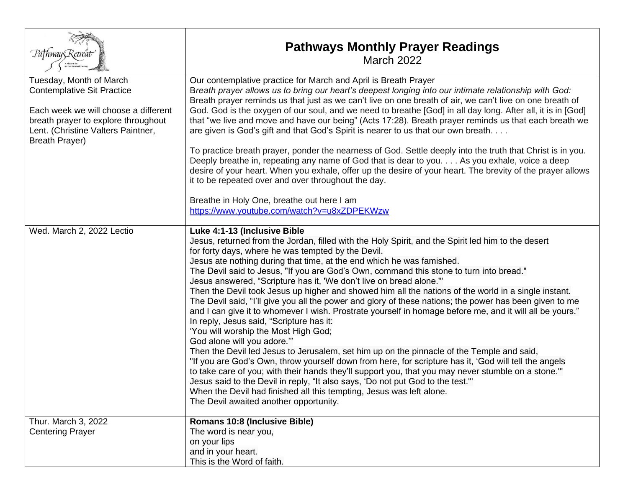| Pa†hway5Retreat                                                                                                                                                                                     | <b>Pathways Monthly Prayer Readings</b><br><b>March 2022</b>                                                                                                                                                                                                                                                                                                                                                                                                                                                                                                                                                                                                                                                                                                                                                                                                                                                                                                                                                                                                                                                                                                                                                                                                                                                                                                                                         |
|-----------------------------------------------------------------------------------------------------------------------------------------------------------------------------------------------------|------------------------------------------------------------------------------------------------------------------------------------------------------------------------------------------------------------------------------------------------------------------------------------------------------------------------------------------------------------------------------------------------------------------------------------------------------------------------------------------------------------------------------------------------------------------------------------------------------------------------------------------------------------------------------------------------------------------------------------------------------------------------------------------------------------------------------------------------------------------------------------------------------------------------------------------------------------------------------------------------------------------------------------------------------------------------------------------------------------------------------------------------------------------------------------------------------------------------------------------------------------------------------------------------------------------------------------------------------------------------------------------------------|
| Tuesday, Month of March<br><b>Contemplative Sit Practice</b><br>Each week we will choose a different<br>breath prayer to explore throughout<br>Lent. (Christine Valters Paintner,<br>Breath Prayer) | Our contemplative practice for March and April is Breath Prayer<br>Breath prayer allows us to bring our heart's deepest longing into our intimate relationship with God:<br>Breath prayer reminds us that just as we can't live on one breath of air, we can't live on one breath of<br>God. God is the oxygen of our soul, and we need to breathe [God] in all day long. After all, it is in [God]<br>that "we live and move and have our being" (Acts 17:28). Breath prayer reminds us that each breath we<br>are given is God's gift and that God's Spirit is nearer to us that our own breath<br>To practice breath prayer, ponder the nearness of God. Settle deeply into the truth that Christ is in you.<br>Deeply breathe in, repeating any name of God that is dear to you. As you exhale, voice a deep<br>desire of your heart. When you exhale, offer up the desire of your heart. The brevity of the prayer allows<br>it to be repeated over and over throughout the day.<br>Breathe in Holy One, breathe out here I am                                                                                                                                                                                                                                                                                                                                                                  |
|                                                                                                                                                                                                     | https://www.youtube.com/watch?v=u8xZDPEKWzw                                                                                                                                                                                                                                                                                                                                                                                                                                                                                                                                                                                                                                                                                                                                                                                                                                                                                                                                                                                                                                                                                                                                                                                                                                                                                                                                                          |
| Wed. March 2, 2022 Lectio                                                                                                                                                                           | Luke 4:1-13 (Inclusive Bible<br>Jesus, returned from the Jordan, filled with the Holy Spirit, and the Spirit led him to the desert<br>for forty days, where he was tempted by the Devil.<br>Jesus ate nothing during that time, at the end which he was famished.<br>The Devil said to Jesus, "If you are God's Own, command this stone to turn into bread."<br>Jesus answered, "Scripture has it, 'We don't live on bread alone."<br>Then the Devil took Jesus up higher and showed him all the nations of the world in a single instant.<br>The Devil said, "I'll give you all the power and glory of these nations; the power has been given to me<br>and I can give it to whomever I wish. Prostrate yourself in homage before me, and it will all be yours."<br>In reply, Jesus said, "Scripture has it:<br>'You will worship the Most High God;<br>God alone will you adore."<br>Then the Devil led Jesus to Jerusalem, set him up on the pinnacle of the Temple and said,<br>"If you are God's Own, throw yourself down from here, for scripture has it, 'God will tell the angels<br>to take care of you; with their hands they'll support you, that you may never stumble on a stone."<br>Jesus said to the Devil in reply, "It also says, 'Do not put God to the test.'"<br>When the Devil had finished all this tempting, Jesus was left alone.<br>The Devil awaited another opportunity. |
| Thur. March 3, 2022<br><b>Centering Prayer</b>                                                                                                                                                      | Romans 10:8 (Inclusive Bible)<br>The word is near you,                                                                                                                                                                                                                                                                                                                                                                                                                                                                                                                                                                                                                                                                                                                                                                                                                                                                                                                                                                                                                                                                                                                                                                                                                                                                                                                                               |
|                                                                                                                                                                                                     | on your lips<br>and in your heart.<br>This is the Word of faith.                                                                                                                                                                                                                                                                                                                                                                                                                                                                                                                                                                                                                                                                                                                                                                                                                                                                                                                                                                                                                                                                                                                                                                                                                                                                                                                                     |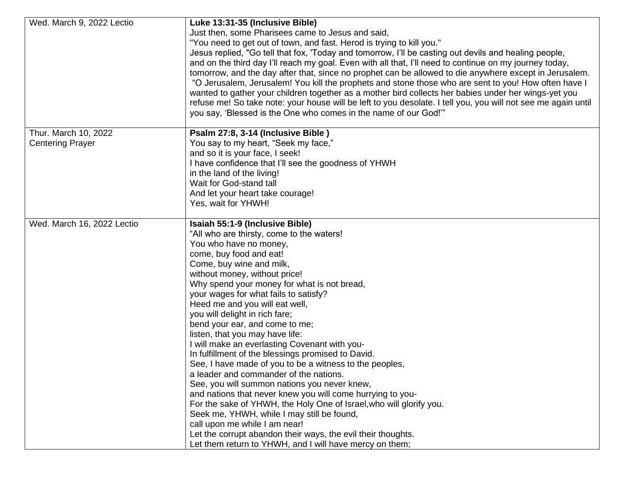| Wed. March 9, 2022 Lectio                       | Luke 13:31-35 (Inclusive Bible)<br>Just then, some Pharisees came to Jesus and said,<br>"You need to get out of town, and fast. Herod is trying to kill you."<br>Jesus replied, "Go tell that fox, 'Today and tomorrow, I'll be casting out devils and healing people,<br>and on the third day I'll reach my goal. Even with all that, I'll need to continue on my journey today,<br>tomorrow, and the day after that, since no prophet can be allowed to die anywhere except in Jerusalem.<br>"O Jerusalem, Jerusalem! You kill the prophets and stone those who are sent to you! How often have I                                                                                                                                                                                                                                                                                                                                                                                                                                        |
|-------------------------------------------------|--------------------------------------------------------------------------------------------------------------------------------------------------------------------------------------------------------------------------------------------------------------------------------------------------------------------------------------------------------------------------------------------------------------------------------------------------------------------------------------------------------------------------------------------------------------------------------------------------------------------------------------------------------------------------------------------------------------------------------------------------------------------------------------------------------------------------------------------------------------------------------------------------------------------------------------------------------------------------------------------------------------------------------------------|
|                                                 | wanted to gather your children together as a mother bird collects her babies under her wings-yet you<br>refuse me! So take note: your house will be left to you desolate. I tell you, you will not see me again until<br>you say, 'Blessed is the One who comes in the name of our God!"                                                                                                                                                                                                                                                                                                                                                                                                                                                                                                                                                                                                                                                                                                                                                   |
| Thur. March 10, 2022<br><b>Centering Prayer</b> | Psalm 27:8, 3-14 (Inclusive Bible)<br>You say to my heart, "Seek my face,"<br>and so it is your face, I seek!<br>I have confidence that I'll see the goodness of YHWH<br>in the land of the living!<br>Wait for God-stand tall<br>And let your heart take courage!<br>Yes, wait for YHWH!                                                                                                                                                                                                                                                                                                                                                                                                                                                                                                                                                                                                                                                                                                                                                  |
| Wed. March 16, 2022 Lectio                      | Isaiah 55:1-9 (Inclusive Bible)<br>"All who are thirsty, come to the waters!<br>You who have no money,<br>come, buy food and eat!<br>Come, buy wine and milk,<br>without money, without price!<br>Why spend your money for what is not bread,<br>your wages for what fails to satisfy?<br>Heed me and you will eat well,<br>you will delight in rich fare;<br>bend your ear, and come to me;<br>listen, that you may have life:<br>I will make an everlasting Covenant with you-<br>In fulfillment of the blessings promised to David.<br>See, I have made of you to be a witness to the peoples,<br>a leader and commander of the nations.<br>See, you will summon nations you never knew,<br>and nations that never knew you will come hurrying to you-<br>For the sake of YHWH, the Holy One of Israel, who will glorify you.<br>Seek me, YHWH, while I may still be found,<br>call upon me while I am near!<br>Let the corrupt abandon their ways, the evil their thoughts.<br>Let them return to YHWH, and I will have mercy on them; |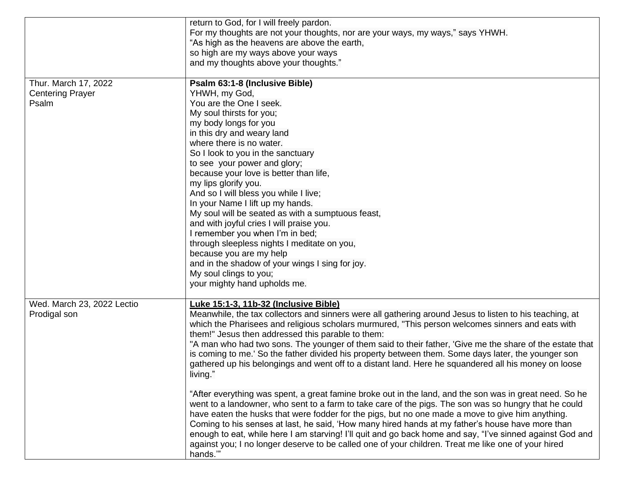|                            | return to God, for I will freely pardon.                                                                  |
|----------------------------|-----------------------------------------------------------------------------------------------------------|
|                            | For my thoughts are not your thoughts, nor are your ways, my ways," says YHWH.                            |
|                            | "As high as the heavens are above the earth,                                                              |
|                            | so high are my ways above your ways                                                                       |
|                            | and my thoughts above your thoughts."                                                                     |
|                            |                                                                                                           |
| Thur. March 17, 2022       | Psalm 63:1-8 (Inclusive Bible)                                                                            |
| <b>Centering Prayer</b>    | YHWH, my God,                                                                                             |
| Psalm                      | You are the One I seek.                                                                                   |
|                            | My soul thirsts for you;                                                                                  |
|                            | my body longs for you                                                                                     |
|                            | in this dry and weary land                                                                                |
|                            | where there is no water.                                                                                  |
|                            | So I look to you in the sanctuary                                                                         |
|                            | to see your power and glory;                                                                              |
|                            | because your love is better than life,                                                                    |
|                            | my lips glorify you.                                                                                      |
|                            | And so I will bless you while I live;                                                                     |
|                            | In your Name I lift up my hands.                                                                          |
|                            | My soul will be seated as with a sumptuous feast,                                                         |
|                            | and with joyful cries I will praise you.                                                                  |
|                            | I remember you when I'm in bed;                                                                           |
|                            | through sleepless nights I meditate on you,                                                               |
|                            | because you are my help                                                                                   |
|                            | and in the shadow of your wings I sing for joy.                                                           |
|                            | My soul clings to you;                                                                                    |
|                            | your mighty hand upholds me.                                                                              |
| Wed. March 23, 2022 Lectio | Luke 15:1-3, 11b-32 (Inclusive Bible)                                                                     |
| Prodigal son               | Meanwhile, the tax collectors and sinners were all gathering around Jesus to listen to his teaching, at   |
|                            | which the Pharisees and religious scholars murmured, "This person welcomes sinners and eats with          |
|                            | them!" Jesus then addressed this parable to them:                                                         |
|                            | "A man who had two sons. The younger of them said to their father, 'Give me the share of the estate that  |
|                            | is coming to me.' So the father divided his property between them. Some days later, the younger son       |
|                            | gathered up his belongings and went off to a distant land. Here he squandered all his money on loose      |
|                            | living.'                                                                                                  |
|                            |                                                                                                           |
|                            | "After everything was spent, a great famine broke out in the land, and the son was in great need. So he   |
|                            | went to a landowner, who sent to a farm to take care of the pigs. The son was so hungry that he could     |
|                            | have eaten the husks that were fodder for the pigs, but no one made a move to give him anything.          |
|                            | Coming to his senses at last, he said, 'How many hired hands at my father's house have more than          |
|                            | enough to eat, while here I am starving! I'll quit and go back home and say, "I've sinned against God and |
|                            | against you; I no longer deserve to be called one of your children. Treat me like one of your hired       |
|                            | hands."                                                                                                   |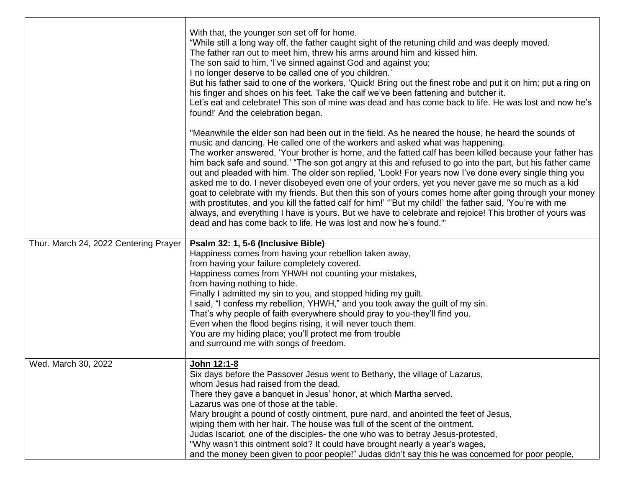|                                       | With that, the younger son set off for home.<br>"While still a long way off, the father caught sight of the retuning child and was deeply moved.<br>The father ran out to meet him, threw his arms around him and kissed him.<br>The son said to him, 'I've sinned against God and against you;<br>I no longer deserve to be called one of you children.'<br>But his father said to one of the workers, 'Quick! Bring out the finest robe and put it on him; put a ring on<br>his finger and shoes on his feet. Take the calf we've been fattening and butcher it.<br>Let's eat and celebrate! This son of mine was dead and has come back to life. He was lost and now he's<br>found!' And the celebration began.                                                                                                                                                                                                                                                                                                                 |
|---------------------------------------|------------------------------------------------------------------------------------------------------------------------------------------------------------------------------------------------------------------------------------------------------------------------------------------------------------------------------------------------------------------------------------------------------------------------------------------------------------------------------------------------------------------------------------------------------------------------------------------------------------------------------------------------------------------------------------------------------------------------------------------------------------------------------------------------------------------------------------------------------------------------------------------------------------------------------------------------------------------------------------------------------------------------------------|
|                                       | "Meanwhile the elder son had been out in the field. As he neared the house, he heard the sounds of<br>music and dancing. He called one of the workers and asked what was happening.<br>The worker answered, 'Your brother is home, and the fatted calf has been killed because your father has<br>him back safe and sound.' "The son got angry at this and refused to go into the part, but his father came<br>out and pleaded with him. The older son replied, 'Look! For years now I've done every single thing you<br>asked me to do. I never disobeyed even one of your orders, yet you never gave me so much as a kid<br>goat to celebrate with my friends. But then this son of yours comes home after going through your money<br>with prostitutes, and you kill the fatted calf for him!' "'But my child!' the father said, 'You're with me<br>always, and everything I have is yours. But we have to celebrate and rejoice! This brother of yours was<br>dead and has come back to life. He was lost and now he's found." |
| Thur. March 24, 2022 Centering Prayer | Psalm 32: 1, 5-6 (Inclusive Bible)<br>Happiness comes from having your rebellion taken away,<br>from having your failure completely covered.<br>Happiness comes from YHWH not counting your mistakes,<br>from having nothing to hide.<br>Finally I admitted my sin to you, and stopped hiding my guilt.<br>I said, "I confess my rebellion, YHWH," and you took away the guilt of my sin.<br>That's why people of faith everywhere should pray to you-they'll find you.<br>Even when the flood begins rising, it will never touch them.<br>You are my hiding place; you'll protect me from trouble<br>and surround me with songs of freedom.                                                                                                                                                                                                                                                                                                                                                                                       |
| Wed. March 30, 2022                   | John 12:1-8<br>Six days before the Passover Jesus went to Bethany, the village of Lazarus,<br>whom Jesus had raised from the dead.<br>There they gave a banquet in Jesus' honor, at which Martha served.<br>Lazarus was one of those at the table.<br>Mary brought a pound of costly ointment, pure nard, and anointed the feet of Jesus,<br>wiping them with her hair. The house was full of the scent of the ointment.<br>Judas Iscariot, one of the disciples- the one who was to betray Jesus-protested,<br>"Why wasn't this ointment sold? It could have brought nearly a year's wages,<br>and the money been given to poor people!" Judas didn't say this he was concerned for poor people,                                                                                                                                                                                                                                                                                                                                  |